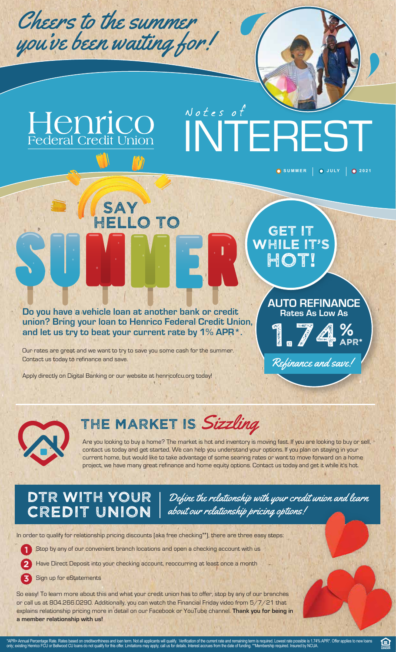

Henrico

Notes of INTEREST

**Do you have a vehicle loan at another bank or credit union? Bring your loan to Henrico Federal Credit Union, and let us try to beat your current rate by 1% APR\*.** 

Our rates are great and we want to try to save you some cash for the summer. Contact us today to refinance and save.

Apply directly on Digital Banking or our website at henricofcu.org today!

**SAY** 

HELLO TO

 $^{\prime}$  I' I



**AUTO REFINANCE Rates As Low As** 

**O** SUMMER  $\Big|$  **O** JULY  $\Big|$  **O** 2021



### THE MARKET IS Sizzling

Are you looking to buy a home? The market is hot and inventory is moving fast. If you are looking to buy or sell, contact us today and get started. We can help you understand your options. If you plan on staying in your current home, but would like to take advantage of some searing rates or want to move forward on a home project, we have many great refinance and home equity options. Contact us today and get it while it's hot.

### DTR WITH YOUR CREDIT UNION

Define the relationship with your credit union and learn about our relationship pricing options!

In order to qualify for relationship pricing discounts (aka free checking\*\*), there are three easy steps:

**1** Stop by any of our convenient branch locations and open a checking account with us

Have Direct Deposit into your checking account, reoccurring at least once a month

Sign up for eStatements

So easy! To learn more about this and what your credit union has to offer, stop by any of our branches or call us at 804.266.0290. Additionally, you can watch the Financial Friday video from 5/7/21 that explains relationship pricing more in detail on our Facebook or YouTube channel. **Thank you for being in a member relationship with us!**